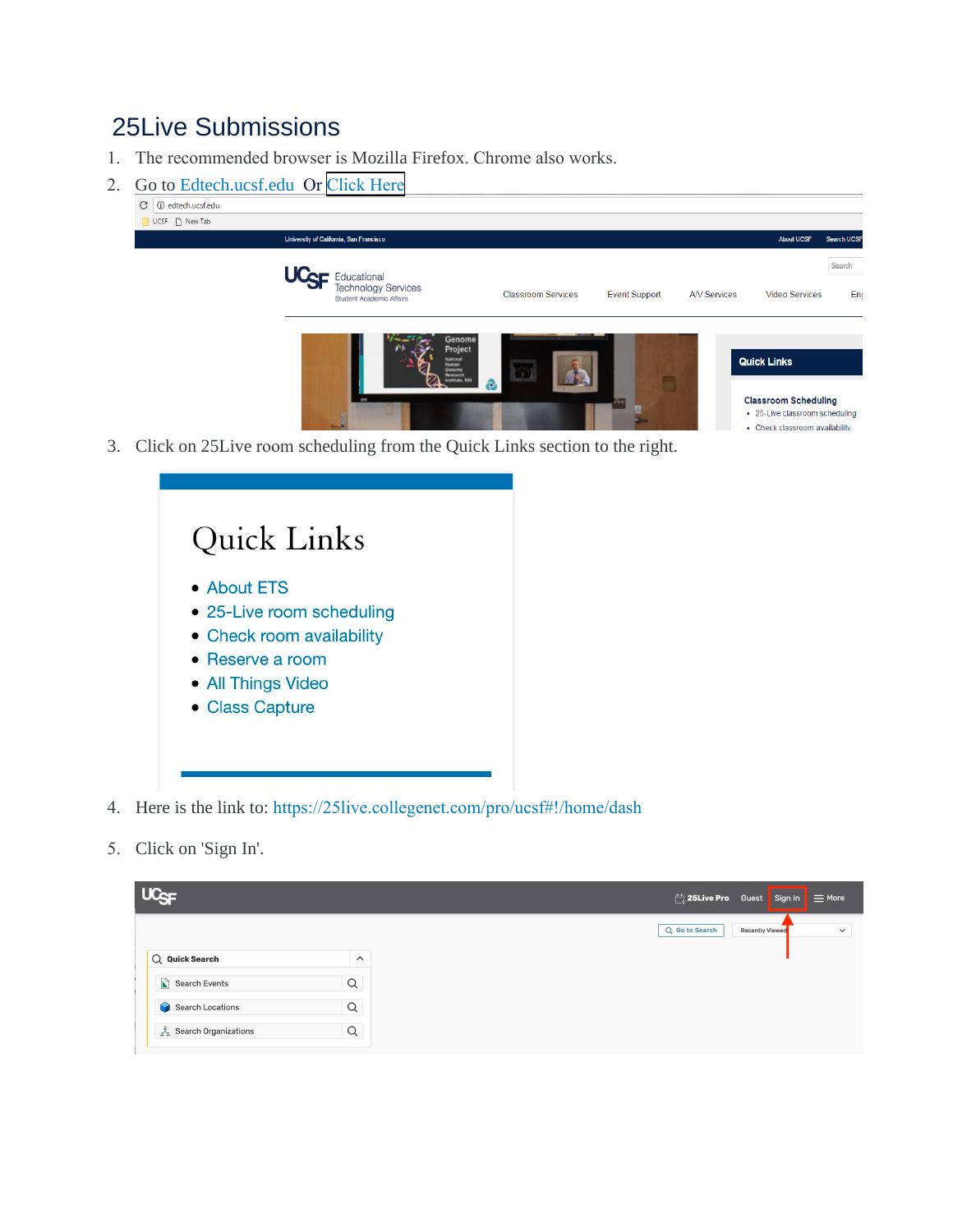## 25Live Submissions

- 1. The recommended browser is Mozilla Firefox. Chrome also works.
- 2. Go to Edtech.ucsf.edu Or [Click Here](https://25live.collegenet.com/pro/ucsf#!/home/dash)



3. Click on 25Live room scheduling from the Quick Links section to the right.

| Quick Links               |  |
|---------------------------|--|
| • About ETS               |  |
| • 25-Live room scheduling |  |
| • Check room availability |  |
| $\bullet$ Reserve a room  |  |
| • All Things Video        |  |
| • Class Capture           |  |
|                           |  |
|                           |  |

- 4. Here is the link to: https://25live.collegenet.com/pro/ucsf#!/home/dash
- 5. Click on 'Sign In'.

| <b>UC<sub>SF</sub></b> |                |  |                | $\Box$ 25Live Pro Guest Sign In $\equiv$ More |              |
|------------------------|----------------|--|----------------|-----------------------------------------------|--------------|
|                        |                |  | Q Go to Search | <b>Recently Viewed</b>                        | $\checkmark$ |
| $Q$ Quick Search       | $\wedge$       |  |                |                                               |              |
| Search Events          | Q              |  |                |                                               |              |
| Search Locations       | $\alpha$       |  |                |                                               |              |
| Search Organizations   | $\hbox{\tt Q}$ |  |                |                                               |              |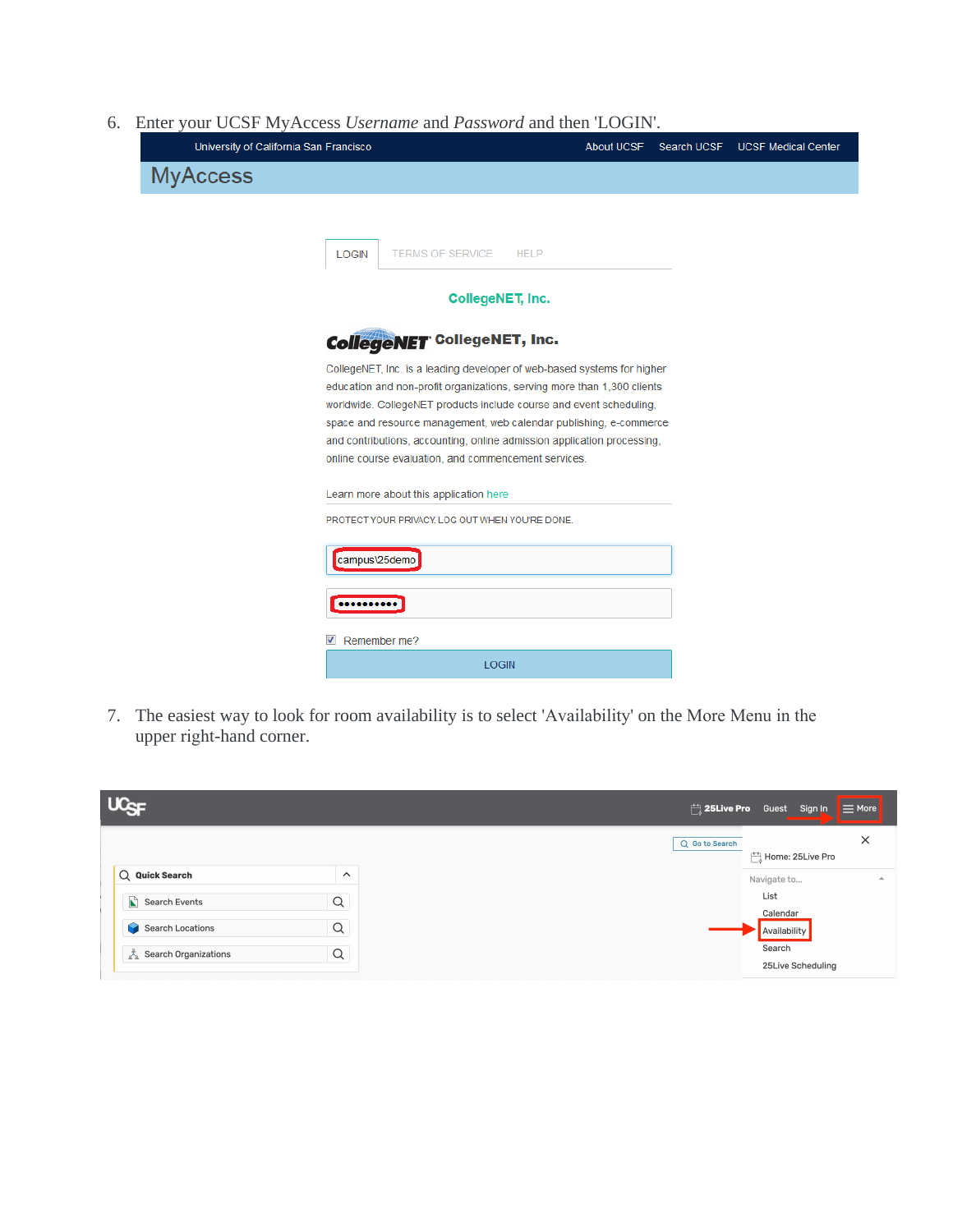6. Enter your UCSF MyAccess *Username* and *Password* and then 'LOGIN'.

| University of California San Francisco                                                                                                    | About UCSF | Search UCSF | <b>UCSF Medical Center</b> |
|-------------------------------------------------------------------------------------------------------------------------------------------|------------|-------------|----------------------------|
| <b>MyAccess</b>                                                                                                                           |            |             |                            |
|                                                                                                                                           |            |             |                            |
| <b>TERMS OF SERVICE</b><br><b>LOGIN</b><br><b>HELP</b>                                                                                    |            |             |                            |
| CollegeNET, Inc.                                                                                                                          |            |             |                            |
| <b>CollegeNET</b> CollegeNET, Inc.                                                                                                        |            |             |                            |
| CollegeNET, Inc. is a leading developer of web-based systems for higher                                                                   |            |             |                            |
| education and non-profit organizations, serving more than 1,300 clients                                                                   |            |             |                            |
| worldwide. CollegeNET products include course and event scheduling,<br>space and resource management, web calendar publishing, e-commerce |            |             |                            |
| and contributions, accounting, online admission application processing,                                                                   |            |             |                            |
| online course evaluation, and commencement services.                                                                                      |            |             |                            |
| Learn more about this application here                                                                                                    |            |             |                            |
| PROTECT YOUR PRIVACY. LOG OUT WHEN YOU'RE DONE.                                                                                           |            |             |                            |
| campus\25demo                                                                                                                             |            |             |                            |
|                                                                                                                                           |            |             |                            |
| $\overline{\mathsf{v}}$<br>Remember me?                                                                                                   |            |             |                            |
| <b>LOGIN</b>                                                                                                                              |            |             |                            |

7. The easiest way to look for room availability is to select 'Availability' on the More Menu in the upper right-hand corner.

| $UC_{SF}$                                                   |                            | $\Box$ 25Live Pro Guest Sign In $\equiv$ More |                  |
|-------------------------------------------------------------|----------------------------|-----------------------------------------------|------------------|
| Q Quick Search                                              | $\widehat{\phantom{1}}$    | Q Go to Search<br>Home: 25Live Pro            | $\times$         |
| $\sum$ Search Events                                        | Q                          | Navigate to<br>List<br>Calendar               | $\blacktriangle$ |
| <b>Search Locations</b><br><b>R</b><br>Search Organizations | $\hbox{\tt Q}$<br>$\alpha$ | Availability<br>Search<br>25Live Scheduling   |                  |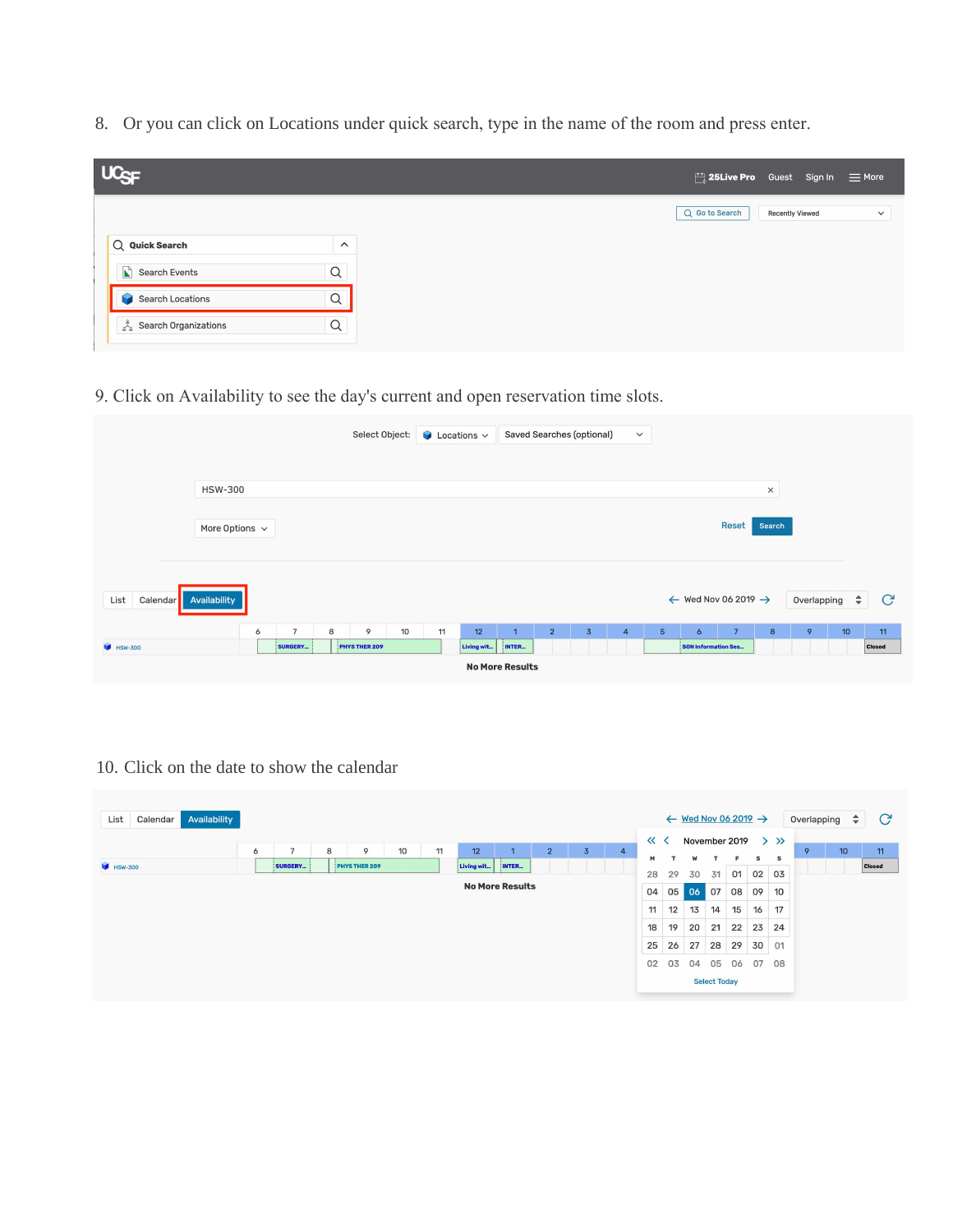8. Or you can click on Locations under quick search, type in the name of the room and press enter.

| UC <sub>SF</sub>     |                         |  |                | $\Box$ 25Live Pro Guest Sign In $\equiv$ More |              |
|----------------------|-------------------------|--|----------------|-----------------------------------------------|--------------|
|                      |                         |  | Q Go to Search | <b>Recently Viewed</b>                        | $\checkmark$ |
| Q Quick Search       | $\widehat{\phantom{1}}$ |  |                |                                               |              |
| $\sum$ Search Events | $\hbox{\tt Q}$          |  |                |                                               |              |
| Search Locations     | $\hbox{\tt Q}$          |  |                |                                               |              |
| Search Organizations | $\hbox{\large \it Q}$   |  |                |                                               |              |

9. Click on Availability to see the day's current and open reservation time slots.

|                               |                     |   |                |   | Select Object: |    |    | $\bullet$ Locations $\sim$ |                                 |                | Saved Searches (optional) | $\checkmark$   |                |                            |                                            |                  |             |    |               |
|-------------------------------|---------------------|---|----------------|---|----------------|----|----|----------------------------|---------------------------------|----------------|---------------------------|----------------|----------------|----------------------------|--------------------------------------------|------------------|-------------|----|---------------|
|                               |                     |   |                |   |                |    |    |                            |                                 |                |                           |                |                |                            |                                            |                  |             |    |               |
|                               | <b>HSW-300</b>      |   |                |   |                |    |    |                            |                                 |                |                           |                |                |                            |                                            | $\times$         |             |    |               |
|                               | More Options $\sim$ |   |                |   |                |    |    |                            |                                 |                |                           |                |                |                            | <b>Reset</b>                               | Search           |             |    |               |
| Calendar Availability<br>List |                     |   |                |   |                |    |    |                            |                                 |                |                           |                |                |                            | $\leftarrow$ Wed Nov 06 2019 $\rightarrow$ |                  | Overlapping | ÷  | $\mathbf{C}$  |
|                               |                     | 6 | $\overline{7}$ | 8 | 9              | 10 | 11 | 12                         | $\mathbf{1}$                    | $\overline{2}$ | $\overline{3}$            | $\overline{4}$ | $\overline{5}$ | $\ddot{\phantom{0}}$       | 7                                          | $\boldsymbol{8}$ | 9           | 10 | 11            |
| <b>M</b> HSW-300              |                     |   | SURGERY        |   | PHYS THER 209  |    |    | Living wit                 | INTER<br><b>No More Results</b> |                |                           |                |                | <b>SON Information Ses</b> |                                            |                  |             |    | <b>Closed</b> |
|                               |                     |   |                |   |                |    |    |                            |                                 |                |                           |                |                |                            |                                            |                  |             |    |               |

10. Click on the date to show the calendar

| Availability<br>List<br>Calendar |                                                                                          |    |              | $\leftarrow$ Wed Nov 06 2019 $\rightarrow$ |                     |    |    |           | Overlapping | $\div$ | $\mathcal{C}$ |
|----------------------------------|------------------------------------------------------------------------------------------|----|--------------|--------------------------------------------|---------------------|----|----|-----------|-------------|--------|---------------|
|                                  | $\overline{2}$<br>$\overline{ }$<br>9<br>10<br>11<br>12<br>$\overline{3}$<br>6<br>8<br>4 |    | $\ll$ $\leq$ | November 2019                              |                     |    |    | $>$ $\gg$ | 9           | 10     | 11            |
|                                  | PHYS THER 209<br>SURGERY                                                                 | м  |              | W                                          |                     | Е  | s  | s         |             |        |               |
| <b>M</b> HSW-300                 | INTER<br>Living wit                                                                      | 28 | 29           | 30                                         | 31                  | 01 |    | 02 03     |             |        | <b>Closed</b> |
|                                  | <b>No More Results</b>                                                                   | 04 | 05           | 06 07                                      |                     | 08 | 09 | 10        |             |        |               |
|                                  |                                                                                          | 11 | 12           | 13                                         | 14                  | 15 | 16 | 17        |             |        |               |
|                                  |                                                                                          | 18 | 19           | 20                                         | 21                  | 22 | 23 | 24        |             |        |               |
|                                  |                                                                                          | 25 | 26           | 27                                         | 28                  | 29 | 30 | 01        |             |        |               |
|                                  |                                                                                          | 02 | 03           | 04                                         | 05                  | 06 | 07 | 08        |             |        |               |
|                                  |                                                                                          |    |              |                                            | <b>Select Today</b> |    |    |           |             |        |               |
|                                  |                                                                                          |    |              |                                            |                     |    |    |           |             |        |               |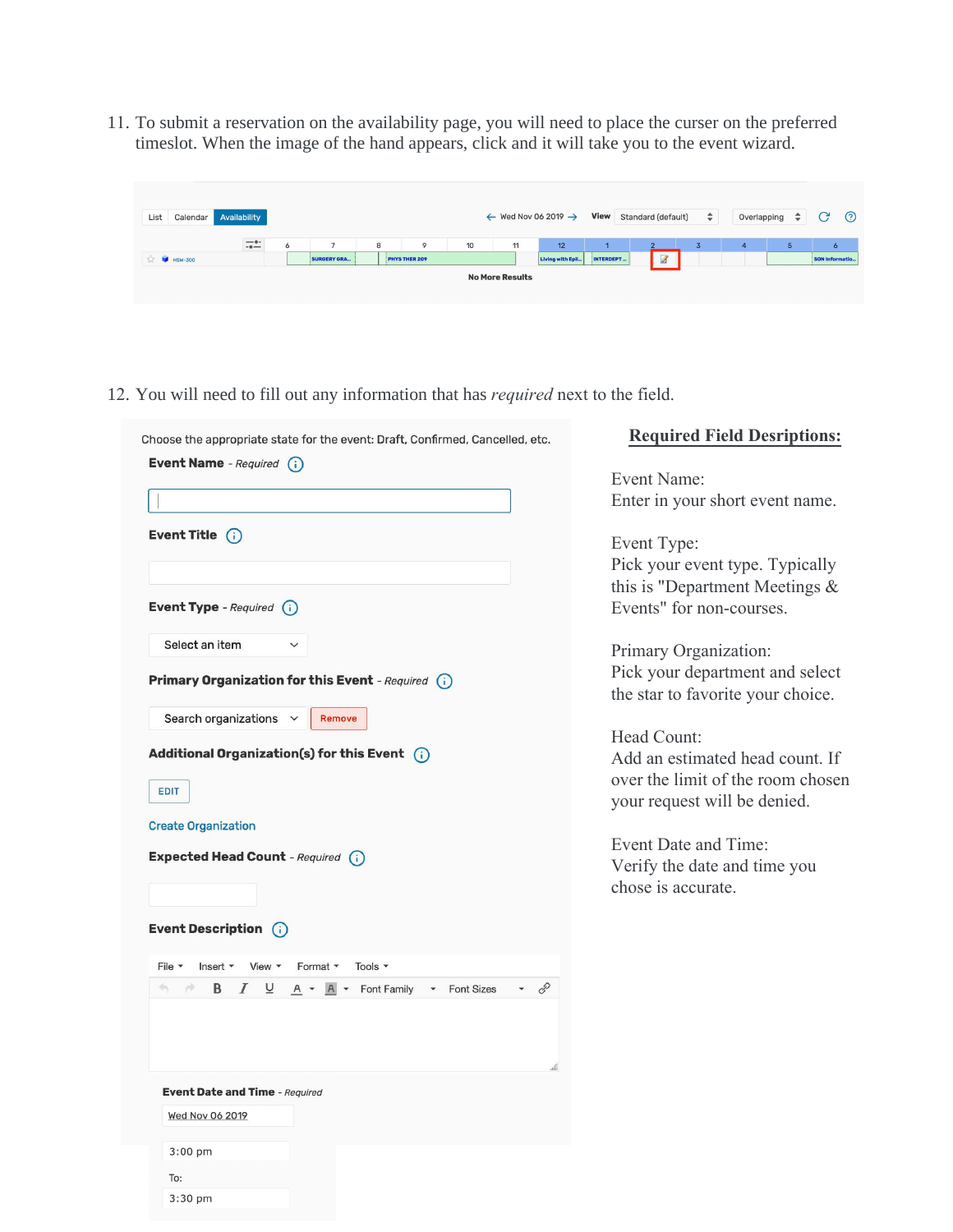11. To submit a reservation on the availability page, you will need to place the curser on the preferred timeslot. When the image of the hand appears, click and it will take you to the event wizard.

| List<br>Calendar     | Availability     |         |                    |   |               |    | $\leftarrow$ Wed Nov 06 2019 $\rightarrow$ |                  | View      | Standard (default) | $\div$        | Overlapping | $\div$ | $\mathcal{C}$<br>$\odot$ |
|----------------------|------------------|---------|--------------------|---|---------------|----|--------------------------------------------|------------------|-----------|--------------------|---------------|-------------|--------|--------------------------|
|                      | $-\cdot$<br>$-0$ | $\circ$ |                    | 8 | 9             | 10 | 11                                         | 12               |           |                    | $\mathcal{L}$ | 4           | 5      | $\circ$                  |
| $\sqrt{2}$ M HSW-300 |                  |         | <b>SURGERY GRA</b> |   | PHYS THER 209 |    |                                            | Living with Epil | INTERDEPT | $\triangledown$    |               |             |        | SON Informatio           |
|                      |                  |         |                    |   |               |    | <b>No More Results</b>                     |                  |           |                    |               |             |        |                          |

12. You will need to fill out any information that has *required* next to the field.

| Choose the appropriate state for the event: Draft, Confirmed, Cancelled, etc.                                                                              | <b>Required Field Desriptions:</b>                                                                                                                                                                                           |
|------------------------------------------------------------------------------------------------------------------------------------------------------------|------------------------------------------------------------------------------------------------------------------------------------------------------------------------------------------------------------------------------|
| <b>Event Name</b> - Required (i)                                                                                                                           | Event Name:<br>Enter in your short event name.                                                                                                                                                                               |
| Event Title $(i)$<br>Event Type - Required (i)<br>Select an item<br>Primary Organization for this Event - Required (i)<br>Search organizations v<br>Remove | Event Type:<br>Pick your event type. Typically<br>this is "Department Meetings &<br>Events" for non-courses.<br>Primary Organization:<br>Pick your department and select<br>the star to favorite your choice.<br>Head Count: |
| Additional Organization(s) for this Event $(i)$<br>EDIT                                                                                                    | Add an estimated head count. If<br>over the limit of the room chosen<br>your request will be denied.                                                                                                                         |
| <b>Create Organization</b><br><b>Expected Head Count</b> - Required (i)                                                                                    | Event Date and Time:<br>Verify the date and time you<br>chose is accurate.                                                                                                                                                   |
| Event Description (i)                                                                                                                                      |                                                                                                                                                                                                                              |
| $File -$<br>Insert $\bullet$ View $\bullet$<br>Format *<br>Tools *                                                                                         |                                                                                                                                                                                                                              |
| $\mathscr{E}$<br>Ø.<br>I<br>⊻<br>$A \rightarrow A \rightarrow$ Font Family $\rightarrow$ Font Sizes<br>$\mathcal{C}$<br>B                                  |                                                                                                                                                                                                                              |
| <b>Event Date and Time</b> - Required<br>Wed Nov 06 2019                                                                                                   |                                                                                                                                                                                                                              |
|                                                                                                                                                            |                                                                                                                                                                                                                              |
| 3:00 pm                                                                                                                                                    |                                                                                                                                                                                                                              |
| To:                                                                                                                                                        |                                                                                                                                                                                                                              |
| 3:30 pm                                                                                                                                                    |                                                                                                                                                                                                                              |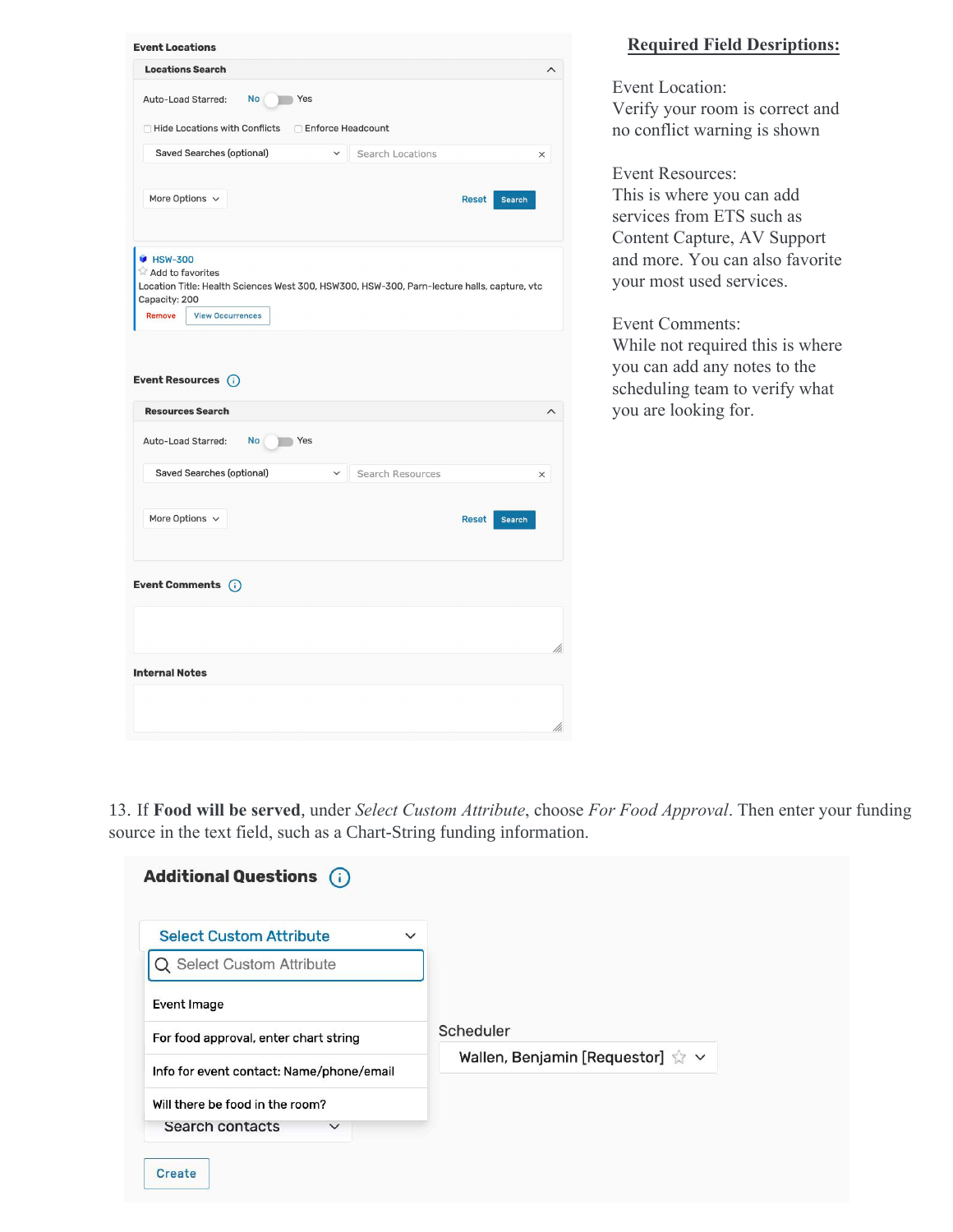| <b>Locations Search</b><br>Auto-Load Starred:<br>No Yes<br>□ Hide Locations with Conflicts<br>Saved Searches (optional)<br>More Options $\vee$<br><b>B</b> HSW-300<br>Add to favorites<br>Location Title: Health Sciences West 300, HSW300, HSW-300, Parn-lecture halls, capture, vtc<br>Capacity: 200<br>Remove<br><b>View Occurrences</b><br>Event Resources (i)<br><b>Resources Search</b> | □ Enforce Headcount<br>Search Locations | <b>Reset</b> | $\times$<br>Search |
|-----------------------------------------------------------------------------------------------------------------------------------------------------------------------------------------------------------------------------------------------------------------------------------------------------------------------------------------------------------------------------------------------|-----------------------------------------|--------------|--------------------|
|                                                                                                                                                                                                                                                                                                                                                                                               |                                         |              |                    |
|                                                                                                                                                                                                                                                                                                                                                                                               |                                         |              |                    |
|                                                                                                                                                                                                                                                                                                                                                                                               |                                         |              |                    |
|                                                                                                                                                                                                                                                                                                                                                                                               |                                         |              |                    |
|                                                                                                                                                                                                                                                                                                                                                                                               |                                         |              |                    |
|                                                                                                                                                                                                                                                                                                                                                                                               |                                         |              |                    |
| Auto-Load Starred:<br><b>No</b><br>Yes                                                                                                                                                                                                                                                                                                                                                        |                                         |              |                    |
| Saved Searches (optional)                                                                                                                                                                                                                                                                                                                                                                     | v Search Resources                      |              | $\times$           |
|                                                                                                                                                                                                                                                                                                                                                                                               |                                         |              |                    |
| More Options $\vee$                                                                                                                                                                                                                                                                                                                                                                           |                                         | <b>Reset</b> | Search             |
| Event Comments (i)                                                                                                                                                                                                                                                                                                                                                                            |                                         |              |                    |
|                                                                                                                                                                                                                                                                                                                                                                                               |                                         |              |                    |
| <b>Internal Notes</b>                                                                                                                                                                                                                                                                                                                                                                         |                                         |              |                    |
|                                                                                                                                                                                                                                                                                                                                                                                               |                                         |              |                    |

## **Required Field Desriptions:**

Event Location: Verify your room is correct and no conflict warning is shown

Event Resources: This is where you can add services from ETS such as Content Capture, AV Support and more. You can also favorite your most used services.

Event Comments: While not required this is where you can add any notes to the scheduling team to verify what you are looking for.

13. If **Food will be served**, under *Select Custom Attribute*, choose *For Food Approval*. Then enter your funding source in the text field, such as a Chart-String funding information.

| <b>Select Custom Attribute</b><br>$\checkmark$ |                                              |
|------------------------------------------------|----------------------------------------------|
| Q Select Custom Attribute                      |                                              |
| Event Image                                    |                                              |
| For food approval, enter chart string          | Scheduler                                    |
| Info for event contact: Name/phone/email       | Wallen, Benjamin [Requestor] $\sqrt{x} \sim$ |
| Will there be food in the room?                |                                              |
| Search contacts<br>$\checkmark$                |                                              |